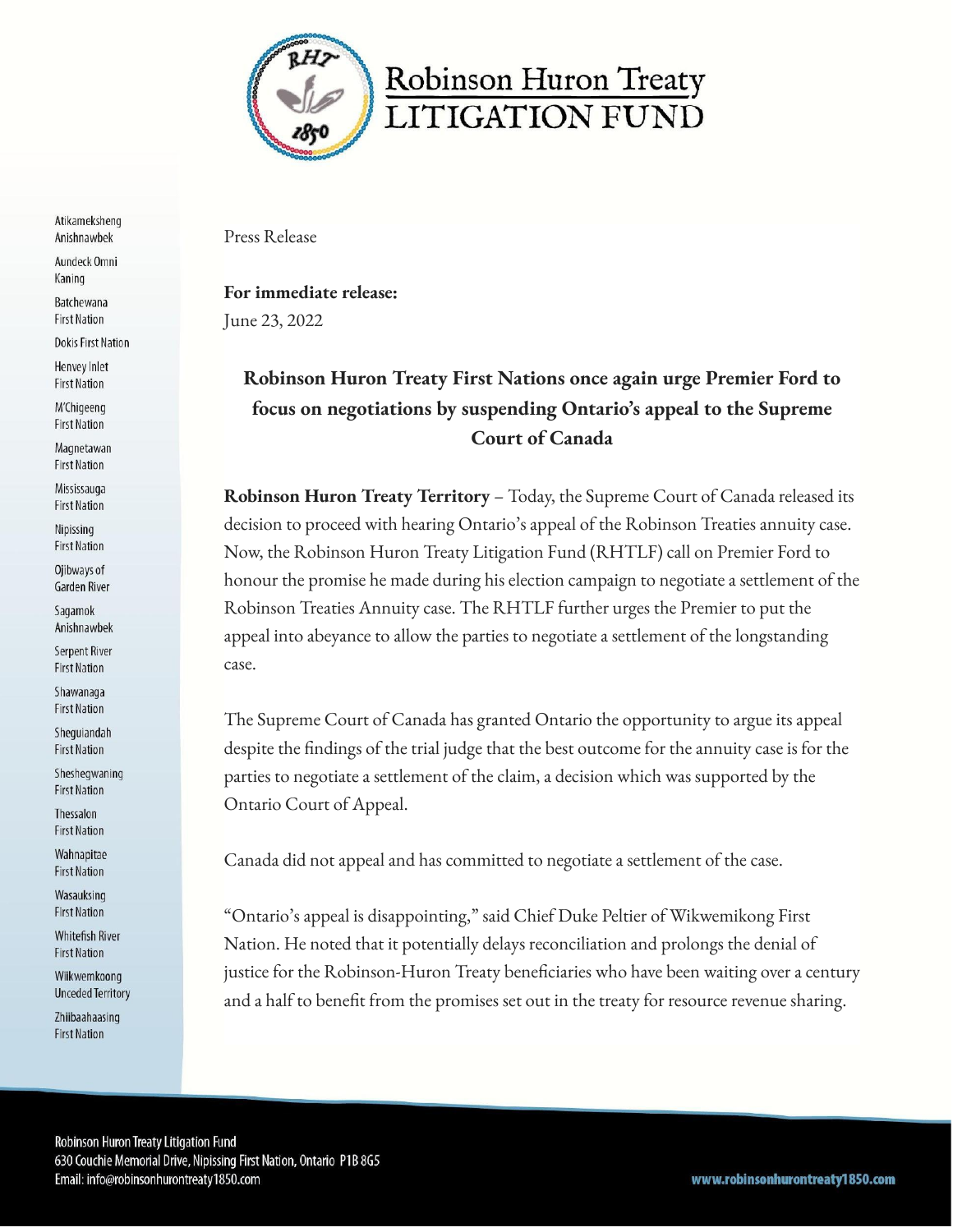

Atikameksheng Anishnawbek

Aundeck Omni Kaning

Batchewana **First Nation** 

**Dokis First Nation** 

Henvey Inlet **First Nation** 

M'Chigeeng **First Nation** 

Magnetawan **First Nation** 

Mississauga **First Nation** 

Nipissing **First Nation** 

Ojibways of Garden River

Sagamok Anishnawbek

Serpent River **First Nation** 

Shawanaga **First Nation** 

Shequiandah **First Nation** 

Shesheqwaning **First Nation** 

Thessalon **First Nation** 

Wahnapitae **First Nation** 

Wasauksing **First Nation** 

**Whitefish River First Nation** 

Wiikwemkoong **Unceded Territory** 

Zhiibaahaasing **First Nation** 

Press Release

For immediate release: June 23, 2022

## Robinson Huron Treaty First Nations once again urge Premier Ford to focus on negotiations by suspending Ontario's appeal to the Supreme **Court of Canada**

**Robinson Huron Treaty Territory - Today, the Supreme Court of Canada released its** decision to proceed with hearing Ontario's appeal of the Robinson Treaties annuity case. Now, the Robinson Huron Treaty Litigation Fund (RHTLF) call on Premier Ford to honour the promise he made during his election campaign to negotiate a settlement of the Robinson Treaties Annuity case. The RHTLF further urges the Premier to put the appeal into abeyance to allow the parties to negotiate a settlement of the longstanding case.

The Supreme Court of Canada has granted Ontario the opportunity to argue its appeal despite the findings of the trial judge that the best outcome for the annuity case is for the parties to negotiate a settlement of the claim, a decision which was supported by the Ontario Court of Appeal.

Canada did not appeal and has committed to negotiate a settlement of the case.

"Ontario's appeal is disappointing," said Chief Duke Peltier of Wikwemikong First Nation. He noted that it potentially delays reconciliation and prolongs the denial of justice for the Robinson-Huron Treaty beneficiaries who have been waiting over a century and a half to benefit from the promises set out in the treaty for resource revenue sharing.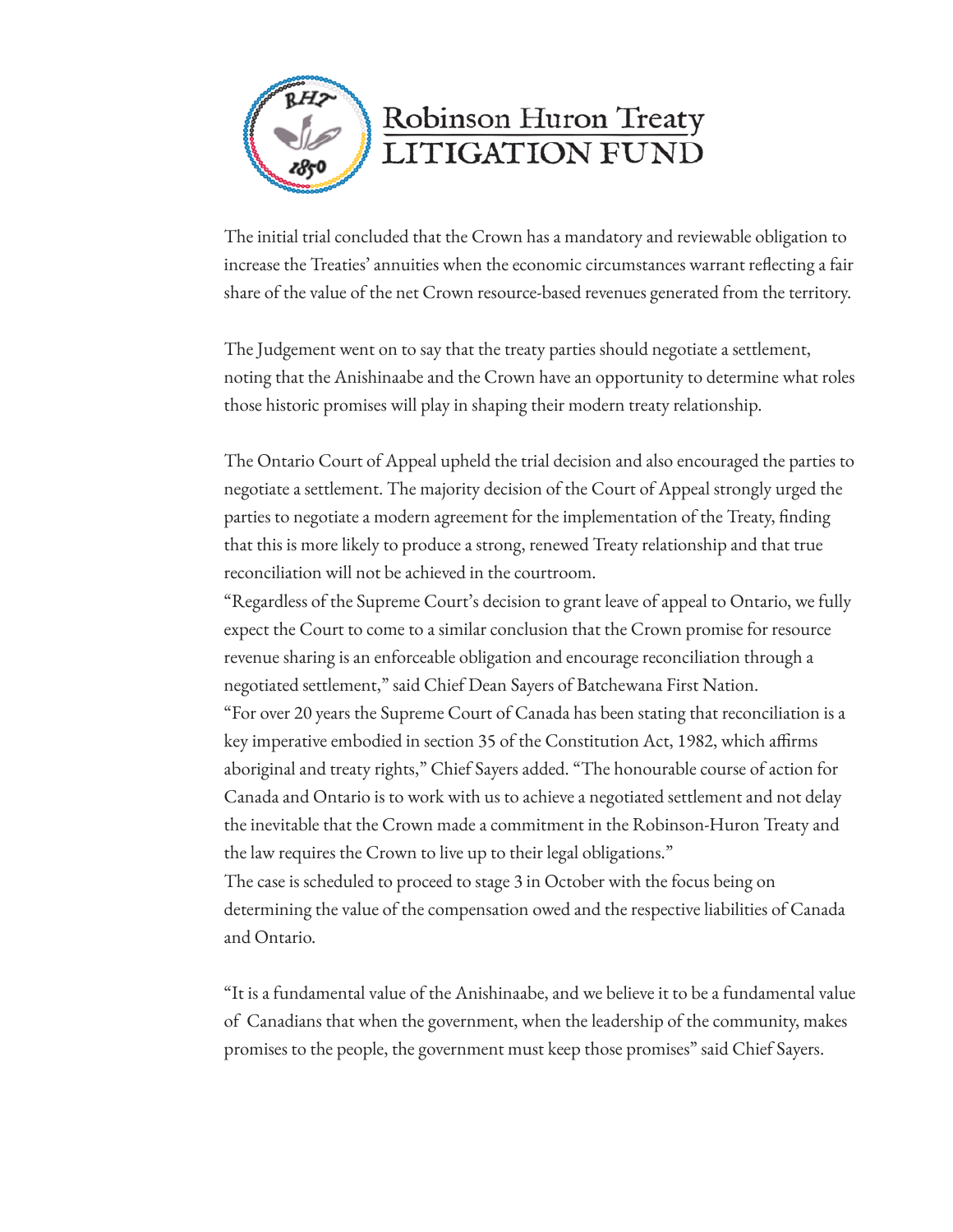

The initial trial concluded that the Crown has a mandatory and reviewable obligation to increase the Treaties' annuities when the economic circumstances warrant reflecting a fair share of the value of the net Crown resource-based revenues generated from the territory.

The Judgement went on to say that the treaty parties should negotiate a settlement, noting that the Anishinaabe and the Crown have an opportunity to determine what roles those historic promises will play in shaping their modern treaty relationship.

The Ontario Court of Appeal upheld the trial decision and also encouraged the parties to negotiate a settlement. The majority decision of the Court of Appeal strongly urged the parties to negotiate a modern agreement for the implementation of the Treaty, finding that this is more likely to produce a strong, renewed Treaty relationship and that true reconciliation will not be achieved in the courtroom.

"Regardless of the Supreme Court's decision to grant leave of appeal to Ontario, we fully expect the Court to come to a similar conclusion that the Crown promise for resource revenue sharing is an enforceable obligation and encourage reconciliation through a negotiated settlement," said Chief Dean Sayers of Batchewana First Nation. "For over 20 years the Supreme Court of Canada has been stating that reconciliation is a key imperative embodied in section 35 of the Constitution Act, 1982, which affirms aboriginal and treaty rights," Chief Sayers added. "The honourable course of action for Canada and Ontario is to work with us to achieve a negotiated settlement and not delay the inevitable that the Crown made a commitment in the Robinson-Huron Treaty and the law requires the Crown to live up to their legal obligations."

The case is scheduled to proceed to stage 3 in October with the focus being on determining the value of the compensation owed and the respective liabilities of Canada and Ontario.

"It is a fundamental value of the Anishinaabe, and we believe it to be a fundamental value of Canadians that when the government, when the leadership of the community, makes promises to the people, the government must keep those promises" said Chief Sayers.